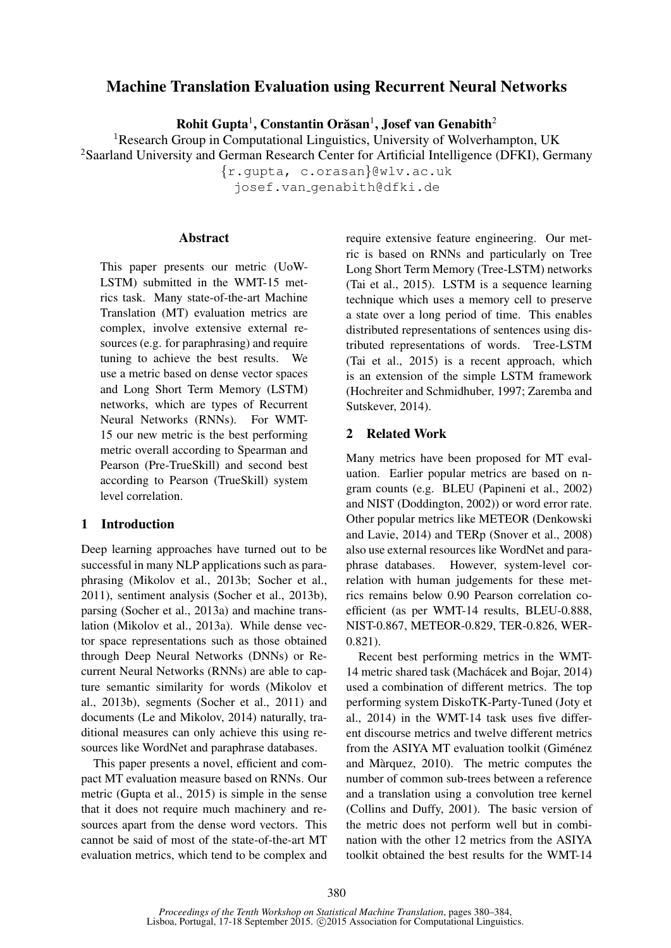# Machine Translation Evaluation using Recurrent Neural Networks

Rohit Gupta<sup>1</sup>, Constantin Orăsan<sup>1</sup>, Josef van Genabith<sup>2</sup>

<sup>1</sup>Research Group in Computational Linguistics, University of Wolverhampton, UK <sup>2</sup>Saarland University and German Research Center for Artificial Intelligence (DFKI), Germany

> {r.gupta, c.orasan}@wlv.ac.uk josef.van genabith@dfki.de

#### Abstract

This paper presents our metric (UoW-LSTM) submitted in the WMT-15 metrics task. Many state-of-the-art Machine Translation (MT) evaluation metrics are complex, involve extensive external resources (e.g. for paraphrasing) and require tuning to achieve the best results. We use a metric based on dense vector spaces and Long Short Term Memory (LSTM) networks, which are types of Recurrent Neural Networks (RNNs). For WMT-15 our new metric is the best performing metric overall according to Spearman and Pearson (Pre-TrueSkill) and second best according to Pearson (TrueSkill) system level correlation.

# 1 Introduction

Deep learning approaches have turned out to be successful in many NLP applications such as paraphrasing (Mikolov et al., 2013b; Socher et al., 2011), sentiment analysis (Socher et al., 2013b), parsing (Socher et al., 2013a) and machine translation (Mikolov et al., 2013a). While dense vector space representations such as those obtained through Deep Neural Networks (DNNs) or Recurrent Neural Networks (RNNs) are able to capture semantic similarity for words (Mikolov et al., 2013b), segments (Socher et al., 2011) and documents (Le and Mikolov, 2014) naturally, traditional measures can only achieve this using resources like WordNet and paraphrase databases.

This paper presents a novel, efficient and compact MT evaluation measure based on RNNs. Our metric (Gupta et al., 2015) is simple in the sense that it does not require much machinery and resources apart from the dense word vectors. This cannot be said of most of the state-of-the-art MT evaluation metrics, which tend to be complex and require extensive feature engineering. Our metric is based on RNNs and particularly on Tree Long Short Term Memory (Tree-LSTM) networks (Tai et al., 2015). LSTM is a sequence learning technique which uses a memory cell to preserve a state over a long period of time. This enables distributed representations of sentences using distributed representations of words. Tree-LSTM (Tai et al., 2015) is a recent approach, which is an extension of the simple LSTM framework (Hochreiter and Schmidhuber, 1997; Zaremba and Sutskever, 2014).

#### 2 Related Work

Many metrics have been proposed for MT evaluation. Earlier popular metrics are based on ngram counts (e.g. BLEU (Papineni et al., 2002) and NIST (Doddington, 2002)) or word error rate. Other popular metrics like METEOR (Denkowski and Lavie, 2014) and TERp (Snover et al., 2008) also use external resources like WordNet and paraphrase databases. However, system-level correlation with human judgements for these metrics remains below 0.90 Pearson correlation coefficient (as per WMT-14 results, BLEU-0.888, NIST-0.867, METEOR-0.829, TER-0.826, WER-0.821).

Recent best performing metrics in the WMT-14 metric shared task (Machácek and Bojar, 2014) used a combination of different metrics. The top performing system DiskoTK-Party-Tuned (Joty et al., 2014) in the WMT-14 task uses five different discourse metrics and twelve different metrics from the ASIYA MT evaluation toolkit (Giménez and Marquez, 2010). The metric computes the ` number of common sub-trees between a reference and a translation using a convolution tree kernel (Collins and Duffy, 2001). The basic version of the metric does not perform well but in combination with the other 12 metrics from the ASIYA toolkit obtained the best results for the WMT-14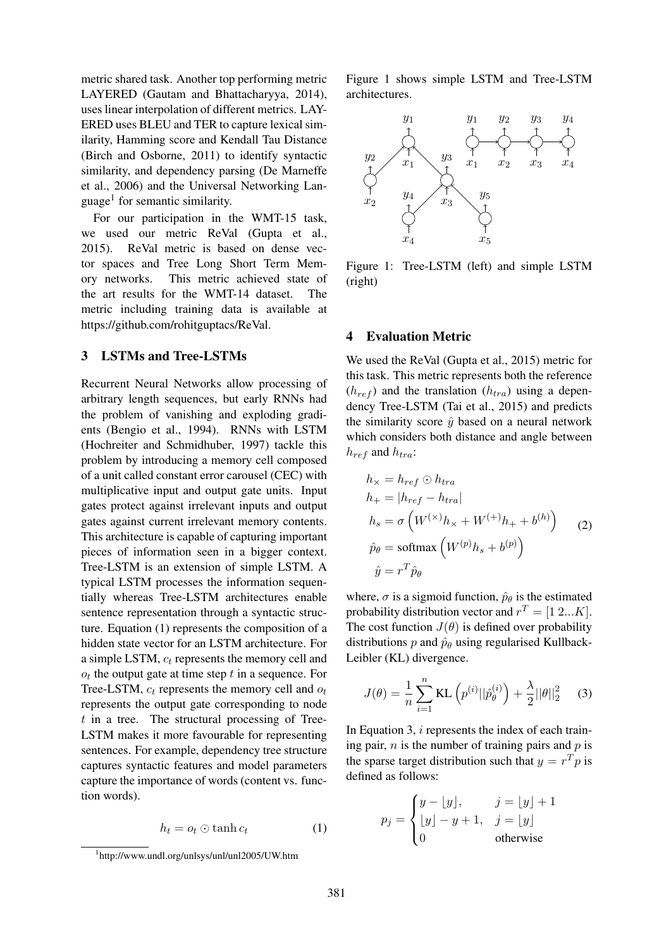metric shared task. Another top performing metric LAYERED (Gautam and Bhattacharyya, 2014), uses linear interpolation of different metrics. LAY-ERED uses BLEU and TER to capture lexical similarity, Hamming score and Kendall Tau Distance (Birch and Osborne, 2011) to identify syntactic similarity, and dependency parsing (De Marneffe et al., 2006) and the Universal Networking Language<sup>1</sup> for semantic similarity.

For our participation in the WMT-15 task, we used our metric ReVal (Gupta et al., 2015). ReVal metric is based on dense vector spaces and Tree Long Short Term Memory networks. This metric achieved state of the art results for the WMT-14 dataset. The metric including training data is available at https://github.com/rohitguptacs/ReVal.

## 3 LSTMs and Tree-LSTMs

Recurrent Neural Networks allow processing of arbitrary length sequences, but early RNNs had the problem of vanishing and exploding gradients (Bengio et al., 1994). RNNs with LSTM (Hochreiter and Schmidhuber, 1997) tackle this problem by introducing a memory cell composed of a unit called constant error carousel (CEC) with multiplicative input and output gate units. Input gates protect against irrelevant inputs and output gates against current irrelevant memory contents. This architecture is capable of capturing important pieces of information seen in a bigger context. Tree-LSTM is an extension of simple LSTM. A typical LSTM processes the information sequentially whereas Tree-LSTM architectures enable sentence representation through a syntactic structure. Equation (1) represents the composition of a hidden state vector for an LSTM architecture. For a simple LSTM,  $c_t$  represents the memory cell and  $o_t$  the output gate at time step  $t$  in a sequence. For Tree-LSTM,  $c_t$  represents the memory cell and  $o_t$ represents the output gate corresponding to node  $t$  in a tree. The structural processing of Tree-LSTM makes it more favourable for representing sentences. For example, dependency tree structure captures syntactic features and model parameters capture the importance of words (content vs. function words).

$$
h_t = o_t \odot \tanh c_t \tag{1}
$$

Figure 1 shows simple LSTM and Tree-LSTM architectures.



Figure 1: Tree-LSTM (left) and simple LSTM (right)

## 4 Evaluation Metric

We used the ReVal (Gupta et al., 2015) metric for this task. This metric represents both the reference  $(h_{ref})$  and the translation  $(h_{tra})$  using a dependency Tree-LSTM (Tai et al., 2015) and predicts the similarity score  $\hat{y}$  based on a neural network which considers both distance and angle between  $h_{ref}$  and  $h_{tra}$ :

$$
h_{\times} = h_{ref} \odot h_{tra}
$$
  
\n
$$
h_{+} = |h_{ref} - h_{tra}|
$$
  
\n
$$
h_{s} = \sigma \left( W^{(\times)} h_{\times} + W^{(+)} h_{+} + b^{(h)} \right)
$$
  
\n
$$
\hat{p}_{\theta} = \text{softmax} \left( W^{(p)} h_{s} + b^{(p)} \right)
$$
  
\n
$$
\hat{y} = r^{T} \hat{p}_{\theta}
$$
 (2)

where,  $\sigma$  is a sigmoid function,  $\hat{p}_{\theta}$  is the estimated probability distribution vector and  $r^T = [1 \ 2...K]$ . The cost function  $J(\theta)$  is defined over probability distributions p and  $\hat{p}_{\theta}$  using regularised Kullback-Leibler (KL) divergence.

$$
J(\theta) = \frac{1}{n} \sum_{i=1}^{n} \text{KL}\left(p^{(i)} || \hat{p}_{\theta}^{(i)}\right) + \frac{\lambda}{2} ||\theta||_2^2 \quad (3)
$$

In Equation 3, i represents the index of each training pair,  $n$  is the number of training pairs and  $p$  is the sparse target distribution such that  $y = r<sup>T</sup> p$  is defined as follows:

$$
p_j = \begin{cases} y - \lfloor y \rfloor, & j = \lfloor y \rfloor + 1 \\ \lfloor y \rfloor - y + 1, & j = \lfloor y \rfloor \\ 0 & \text{otherwise} \end{cases}
$$

<sup>1</sup> http://www.undl.org/unlsys/unl/unl2005/UW.htm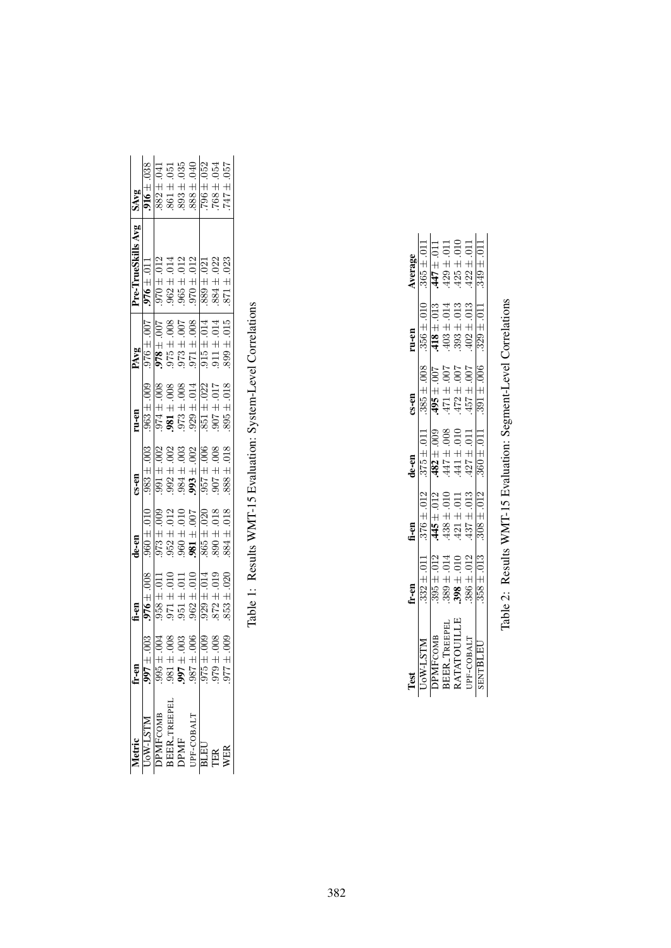|                                  |                    |                                                                                                                                                                                                                                                                  | $d$ e-en                                                                                                                                                                                                                                                                                                          | $\mathfrak{cs}$ -en                                                                                                                                                                            | $ru-en$                                                                                                                                                                                                                                                                                      |                                                                                                                                                                                                                                                                                                           | Pre-TrueSkills Avg                                                                                                                                                                                                                                                                                                                          |                                                                                                                                                                                                                                                                                                                                                                                                   |
|----------------------------------|--------------------|------------------------------------------------------------------------------------------------------------------------------------------------------------------------------------------------------------------------------------------------------------------|-------------------------------------------------------------------------------------------------------------------------------------------------------------------------------------------------------------------------------------------------------------------------------------------------------------------|------------------------------------------------------------------------------------------------------------------------------------------------------------------------------------------------|----------------------------------------------------------------------------------------------------------------------------------------------------------------------------------------------------------------------------------------------------------------------------------------------|-----------------------------------------------------------------------------------------------------------------------------------------------------------------------------------------------------------------------------------------------------------------------------------------------------------|---------------------------------------------------------------------------------------------------------------------------------------------------------------------------------------------------------------------------------------------------------------------------------------------------------------------------------------------|---------------------------------------------------------------------------------------------------------------------------------------------------------------------------------------------------------------------------------------------------------------------------------------------------------------------------------------------------------------------------------------------------|
| NLST-Wo                          | .003               |                                                                                                                                                                                                                                                                  |                                                                                                                                                                                                                                                                                                                   | $.983 + .003$                                                                                                                                                                                  |                                                                                                                                                                                                                                                                                              |                                                                                                                                                                                                                                                                                                           |                                                                                                                                                                                                                                                                                                                                             |                                                                                                                                                                                                                                                                                                                                                                                                   |
|                                  |                    |                                                                                                                                                                                                                                                                  |                                                                                                                                                                                                                                                                                                                   |                                                                                                                                                                                                |                                                                                                                                                                                                                                                                                              |                                                                                                                                                                                                                                                                                                           |                                                                                                                                                                                                                                                                                                                                             |                                                                                                                                                                                                                                                                                                                                                                                                   |
|                                  |                    |                                                                                                                                                                                                                                                                  |                                                                                                                                                                                                                                                                                                                   |                                                                                                                                                                                                |                                                                                                                                                                                                                                                                                              |                                                                                                                                                                                                                                                                                                           |                                                                                                                                                                                                                                                                                                                                             |                                                                                                                                                                                                                                                                                                                                                                                                   |
| DPMFCOMB<br>BEER_TREEPEL<br>DPMF |                    |                                                                                                                                                                                                                                                                  |                                                                                                                                                                                                                                                                                                                   |                                                                                                                                                                                                |                                                                                                                                                                                                                                                                                              |                                                                                                                                                                                                                                                                                                           |                                                                                                                                                                                                                                                                                                                                             |                                                                                                                                                                                                                                                                                                                                                                                                   |
| JPF-COBALT                       | <u>ge sige sig</u> | $\begin{array}{l} \textbf{f} = \textbf{m} \\ \hline 976 \pm .008 \\ 958 \pm .011 \\ 958 \pm .011 \\ 951 \pm .011 \\ 951 \pm .011 \\ 962 \pm .014 \\ 962 \pm .019 \\ 962 \pm .019 \\ 962 \pm .019 \\ 962 \pm .019 \\ 962 \pm .019 \\ 962 \pm .019 \\ \end{array}$ | $\begin{array}{r} 360 \pm 0.10 \\ 360 \pm 0.01 \\ \hline 973 \pm 0.09 \\ 952 \pm 0.12 \\ 100 \pm 0.01 \\ 100 \pm 0.01 \\ 100 \pm 0.01 \\ 100 \pm 0.01 \\ 100 \pm 0.01 \\ 100 \pm 0.01 \\ 100 \pm 0.01 \\ 100 \pm 0.01 \\ 100 \pm 0.01 \\ 100 \pm 0.01 \\ 100 \pm 0.01 \\ 100 \pm 0.01 \\ 100 \pm 0.01 \\ 100 \pm$ | $\begin{array}{r} 391 \pm .002 \\ 992 \pm .003 \\ 992 \pm .003 \\ 984 \pm .003 \\ 993 \pm .002 \\ 994 \pm .003 \\ 995 \pm .008 \\ 996 \pm .008 \\ 997 \pm .008 \\ 998 \pm .018 \\ \end{array}$ | $\begin{array}{r} 363 \pm .009 \\ \hline 974 \pm .008 \\ \hline 974 \pm .008 \\ \hline 981 \pm .008 \\ \hline 973 \pm .014 \\ \hline 973 \pm .012 \\ \hline 101 \pm .022 \\ \hline 117 \\ \hline 128 \\ \hline 139 \pm .013 \\ \hline 148 \\ \hline 159 \\ \hline 169 \\ \hline \end{array}$ | $\begin{array}{l} \textbf{PANg} \\ 10.10 \pm 0.000 \\ 2.00 \pm 0.000 \\ 1.00 \pm 0.000 \\ 2.00 \pm 0.000 \\ 2.00 \pm 0.000 \\ 3.00 \pm 0.000 \\ 4.00 \pm 0.000 \\ 5.00 \pm 0.000 \\ 6.00 \pm 0.000 \\ 7.00 \pm 0.000 \\ 8.00 \pm 0.000 \\ 8.00 \pm 0.000 \\ 1.00 \pm 0.000 \\ 1.00 \pm 0.000 \\ 1.00 \pm$ | $\begin{array}{l} \pmb{576 \pm .011} \\ \pmb{970 \pm .012} \\ \pmb{962 \pm .014} \\ \pmb{963 \pm .012} \\ \pmb{965 \pm .012} \\ \pmb{970 \pm .012} \\ \pmb{970 \pm .021} \\ \pmb{989 \pm .022} \\ \pmb{989 \pm .022} \\ \pmb{989 \pm .023} \\ \pmb{989 \pm .022} \\ \pmb{989 \pm .023} \\ \pmb{989 \pm .023} \\ \pmb{989 \pm .023} \\ \pmb$ | $\begin{array}{r} \textbf{SAY} \\ \textbf{SAY} \\ \textbf{.018} \\ \textbf{.031} \\ \textbf{.041} \\ \textbf{.051} \\ \textbf{.052} \\ \textbf{.063} \\ \textbf{.071} \\ \textbf{.083} \\ \textbf{.074} \\ \textbf{.083} \\ \textbf{.075} \\ \textbf{.084} \\ \textbf{.076} \\ \textbf{.085} \\ \textbf{.097} \\ \textbf{.098} \\ \textbf{.099} \\ \textbf{.099} \\ \textbf{.099} \\ \textbf{.09$ |
| BLEU                             |                    |                                                                                                                                                                                                                                                                  |                                                                                                                                                                                                                                                                                                                   |                                                                                                                                                                                                |                                                                                                                                                                                                                                                                                              |                                                                                                                                                                                                                                                                                                           |                                                                                                                                                                                                                                                                                                                                             |                                                                                                                                                                                                                                                                                                                                                                                                   |
|                                  |                    |                                                                                                                                                                                                                                                                  |                                                                                                                                                                                                                                                                                                                   |                                                                                                                                                                                                |                                                                                                                                                                                                                                                                                              |                                                                                                                                                                                                                                                                                                           |                                                                                                                                                                                                                                                                                                                                             |                                                                                                                                                                                                                                                                                                                                                                                                   |
|                                  |                    |                                                                                                                                                                                                                                                                  |                                                                                                                                                                                                                                                                                                                   |                                                                                                                                                                                                |                                                                                                                                                                                                                                                                                              |                                                                                                                                                                                                                                                                                                           |                                                                                                                                                                                                                                                                                                                                             |                                                                                                                                                                                                                                                                                                                                                                                                   |
|                                  |                    |                                                                                                                                                                                                                                                                  |                                                                                                                                                                                                                                                                                                                   |                                                                                                                                                                                                |                                                                                                                                                                                                                                                                                              |                                                                                                                                                                                                                                                                                                           |                                                                                                                                                                                                                                                                                                                                             |                                                                                                                                                                                                                                                                                                                                                                                                   |

Table 1: Results WMT-15 Evaluation: System-Level Correlations Table 1: Results WMT-15 Evaluation: System-Level Correlations

|                                         | ir-en                                                                                                                  | $\frac{1}{1}$                                                                                                    | $1e$ -en                                                                                                                                           |                                                                                                                                           |                                                                                                             |                                                                                                                                                                 |
|-----------------------------------------|------------------------------------------------------------------------------------------------------------------------|------------------------------------------------------------------------------------------------------------------|----------------------------------------------------------------------------------------------------------------------------------------------------|-------------------------------------------------------------------------------------------------------------------------------------------|-------------------------------------------------------------------------------------------------------------|-----------------------------------------------------------------------------------------------------------------------------------------------------------------|
| <b>UOW-LSTM</b>                         |                                                                                                                        |                                                                                                                  |                                                                                                                                                    | cs-en<br>.385 ± .008<br><b>.495 ±</b> .007                                                                                                | <b>ru-en</b><br>$.356 \pm .010$<br>$.418 \pm .013$<br>$.403 \pm .014$<br>$.393 \pm .013$<br>$.393 \pm .013$ |                                                                                                                                                                 |
|                                         |                                                                                                                        |                                                                                                                  |                                                                                                                                                    |                                                                                                                                           |                                                                                                             |                                                                                                                                                                 |
| DPMFCOMB<br>BEBR_TREEPEL<br>RATATOUILLE |                                                                                                                        |                                                                                                                  |                                                                                                                                                    |                                                                                                                                           |                                                                                                             |                                                                                                                                                                 |
|                                         | $\begin{array}{c} .332\pm .011\\ .395\pm .012\\ .389\pm .014\\ .389\pm .010\\ .998\pm .010\\ .396\pm .012 \end{array}$ |                                                                                                                  |                                                                                                                                                    | $\begin{array}{l} 2.00 \cdot \mp 2.9 \cdot \vec{r} \\ 2.00 \cdot \mp 72.5 \cdot \vec{r} \\ 2.00 \cdot \mp 12.5 \cdot \vec{r} \end{array}$ |                                                                                                             |                                                                                                                                                                 |
| UPF-COBALT                              |                                                                                                                        | $\begin{array}{l} .376 \pm .012 \\ .445 \pm .012 \\ .438 \pm .010 \\ .421 \pm .011 \\ .427 \pm .013 \end{array}$ | $\begin{array}{c} 375 \pm .011 \\ \textbf{482} \pm .009 \\ \textbf{447} \pm .008 \\ \textbf{447} \pm .010 \\ \textbf{441} \pm .010 \\ \end{array}$ |                                                                                                                                           |                                                                                                             | Average<br>$.365 \pm .011$<br>$.365 \pm .011$<br>$.447 \pm .011$<br>$.429 \pm .011$<br>$.425 \pm .010$<br>$.422 \pm .011$<br>$.422 \pm .011$<br>$.349 \pm .011$ |
| <b>SENTBLEL</b>                         | $358 \pm .013$                                                                                                         | $308 \pm .012$                                                                                                   | $360 \pm .011$                                                                                                                                     | $391 \pm .006$                                                                                                                            | $329 \pm .011$                                                                                              |                                                                                                                                                                 |
|                                         |                                                                                                                        |                                                                                                                  |                                                                                                                                                    |                                                                                                                                           |                                                                                                             |                                                                                                                                                                 |

Table 2: Results WMT-15 Evaluation: Segment-Level Correlations Table 2: Results WMT-15 Evaluation: Segment-Level Correlations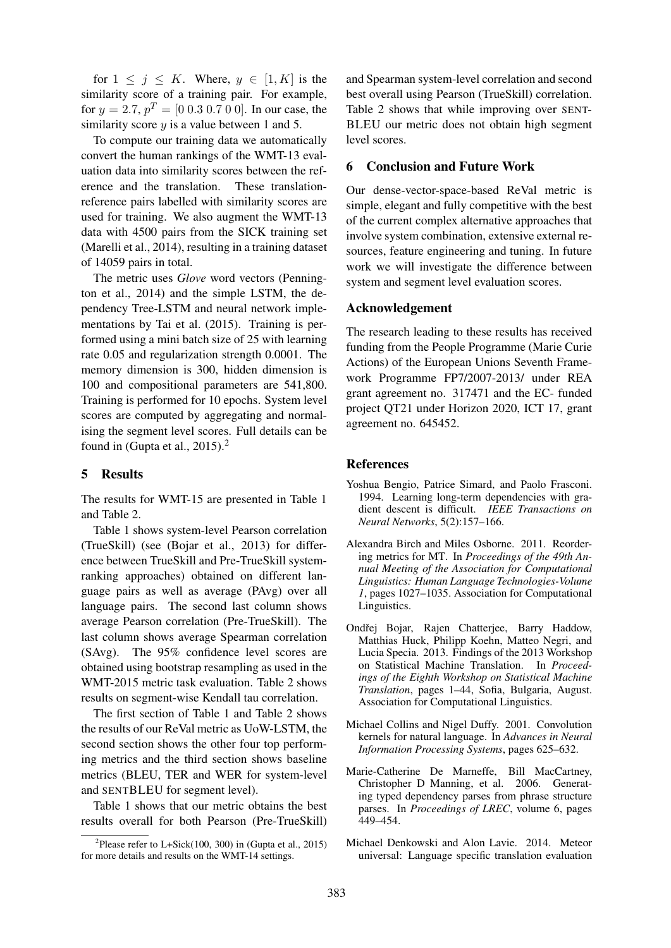for  $1 \leq j \leq K$ . Where,  $y \in [1, K]$  is the similarity score of a training pair. For example, for  $y = 2.7$ ,  $p^T = [0 \ 0.3 \ 0.7 \ 0 \ 0]$ . In our case, the similarity score  $y$  is a value between 1 and 5.

To compute our training data we automatically convert the human rankings of the WMT-13 evaluation data into similarity scores between the reference and the translation. These translationreference pairs labelled with similarity scores are used for training. We also augment the WMT-13 data with 4500 pairs from the SICK training set (Marelli et al., 2014), resulting in a training dataset of 14059 pairs in total.

The metric uses *Glove* word vectors (Pennington et al., 2014) and the simple LSTM, the dependency Tree-LSTM and neural network implementations by Tai et al. (2015). Training is performed using a mini batch size of 25 with learning rate 0.05 and regularization strength 0.0001. The memory dimension is 300, hidden dimension is 100 and compositional parameters are 541,800. Training is performed for 10 epochs. System level scores are computed by aggregating and normalising the segment level scores. Full details can be found in (Gupta et al.,  $2015$ ).<sup>2</sup>

# 5 Results

The results for WMT-15 are presented in Table 1 and Table 2.

Table 1 shows system-level Pearson correlation (TrueSkill) (see (Bojar et al., 2013) for difference between TrueSkill and Pre-TrueSkill systemranking approaches) obtained on different language pairs as well as average (PAvg) over all language pairs. The second last column shows average Pearson correlation (Pre-TrueSkill). The last column shows average Spearman correlation (SAvg). The 95% confidence level scores are obtained using bootstrap resampling as used in the WMT-2015 metric task evaluation. Table 2 shows results on segment-wise Kendall tau correlation.

The first section of Table 1 and Table 2 shows the results of our ReVal metric as UoW-LSTM, the second section shows the other four top performing metrics and the third section shows baseline metrics (BLEU, TER and WER for system-level and SENTBLEU for segment level).

Table 1 shows that our metric obtains the best results overall for both Pearson (Pre-TrueSkill)

and Spearman system-level correlation and second best overall using Pearson (TrueSkill) correlation. Table 2 shows that while improving over SENT-BLEU our metric does not obtain high segment level scores.

## 6 Conclusion and Future Work

Our dense-vector-space-based ReVal metric is simple, elegant and fully competitive with the best of the current complex alternative approaches that involve system combination, extensive external resources, feature engineering and tuning. In future work we will investigate the difference between system and segment level evaluation scores.

#### Acknowledgement

The research leading to these results has received funding from the People Programme (Marie Curie Actions) of the European Unions Seventh Framework Programme FP7/2007-2013/ under REA grant agreement no. 317471 and the EC- funded project QT21 under Horizon 2020, ICT 17, grant agreement no. 645452.

## References

- Yoshua Bengio, Patrice Simard, and Paolo Frasconi. 1994. Learning long-term dependencies with gradient descent is difficult. *IEEE Transactions on Neural Networks*, 5(2):157–166.
- Alexandra Birch and Miles Osborne. 2011. Reordering metrics for MT. In *Proceedings of the 49th Annual Meeting of the Association for Computational Linguistics: Human Language Technologies-Volume 1*, pages 1027–1035. Association for Computational Linguistics.
- Ondřej Bojar, Rajen Chatterjee, Barry Haddow, Matthias Huck, Philipp Koehn, Matteo Negri, and Lucia Specia. 2013. Findings of the 2013 Workshop on Statistical Machine Translation. In *Proceedings of the Eighth Workshop on Statistical Machine Translation*, pages 1–44, Sofia, Bulgaria, August. Association for Computational Linguistics.
- Michael Collins and Nigel Duffy. 2001. Convolution kernels for natural language. In *Advances in Neural Information Processing Systems*, pages 625–632.
- Marie-Catherine De Marneffe, Bill MacCartney, Christopher D Manning, et al. 2006. Generating typed dependency parses from phrase structure parses. In *Proceedings of LREC*, volume 6, pages 449–454.
- Michael Denkowski and Alon Lavie. 2014. Meteor universal: Language specific translation evaluation

<sup>&</sup>lt;sup>2</sup>Please refer to L+Sick(100, 300) in (Gupta et al., 2015) for more details and results on the WMT-14 settings.